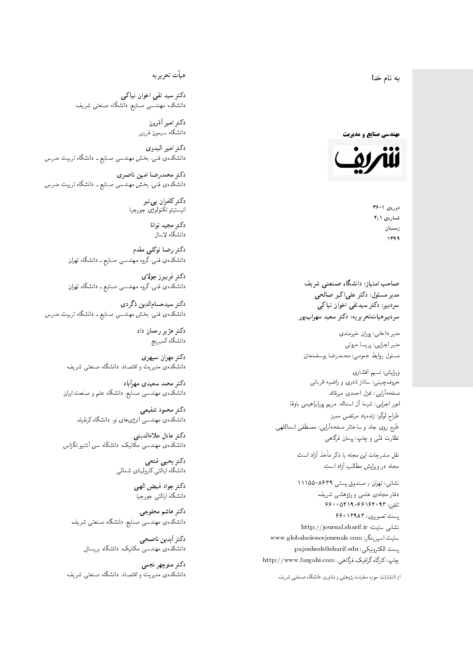4 نام خدا  $\overline{\phantom{a}}$ ز<br>ن .<br>.

**مهندسی صنایع و مدیریت** 



 $36 - 1$  (41.62) شمارەي ۲٫۱ زمستان 1399

صاحب امتیاز: دانشگاه صنعتی شریف  $\mathfrak{c}$ مدیر مسئول: دکتر علیاکبر صالحی  $\mathfrak{c}$ سردېيرهياتتحر ير يه: دکتر سعيد سهرابپور سردبیر: دکتر سیدتقی اخوان نیاکی

مدير داخلي: پوران خيرمندی<br>ا مدير اجرايي: پريسا مروتي<br>م مسئول روابط عمومی: محمدرضا يوسفخان<br>.

ویرایش: نسیم افشاری<br>نام نام ان طراح لوگو: زندهیاد مرتضمی ممیز<br>ا طرح روی جلد و ساختار صفحهآرایی: مصطفی اسداللهی<br>مطلب منتقل نظارت فٽ<sub>ی</sub> و چاپ: پيمان فرگاه*ي*<br>.

نقل مندرجات این مجله با ذکر مأخذ آزاد است.<br>مجله در ویرایش مطالب آزاد است.

نشانی: تهران / صندوق پستی ۸۶۳۹-۱۱۱۵۵ دفتر مجلهى علمى و پژوهشى شريف 6600541966164093 %uirD یست تصویری: ۱۲۹۸۳ ۶۶۰ نشانی سایت: http://journal.sharif.ir<br>ء سايت اسپرينگر: www.globalsciencejournals.com<br>المکسور است پست الکترونیکی: pajouhesh@sharif.edu<br>چاپ: کارگاه گرافیک فرگاهی، http://www.fargahi.com حروف چینی: ساناز نادری و راضیه قربانی<br>صفحهآرایی: غزل احمدی میرقاند<br>طواح لوگو: زندهیاد مرتضی ممیز<br>طواح لوگو: زندهیاد مرتضی ممیز<br>نظارت فنّی و چاپ: پیمان فرگاهی<br>نظارت فنّی و چاپ: پیمان فرگاهی<br>متعلم در ویرایش مطالب آزاد است.<br>

از انتشارات حوزه معاونت پژوهش و فناوری دانشگاه صنعتبی شریف<br>.

هيأت تحريريه

دکتر سید تقی اخوان نیاکی دانشکده مهندسی صنایع. دانشگاه صنعتی شریف<br>.

> دکتر امیر آذرون دانشگاه سیمون فریز<u>ر</u><br>.

دكتر امير البدوى دانشکدهی فنی، بخش مهندسی صنایع ــ دانشگاه تربیت مدرس<br>.

دکتر محمدرضا امین ناصری  $\overline{a}$ دانشکدهی فنی، بخش مهندسی صنایع ــ دانشگاه تربیت مدرس<br>.

> دکتر کامران پی نبر  $\overline{a}$ انيستيتو تكنولوژى جورجيا<br>.

دکتر مجید توانا<br>دانشگاه لاسال

دكتر رضا توكلي مقدم دانشکده ی فنی، گروه مهندس<sub>ی</sub> صنایع ــ دانشگاه تهران<br>.

د*ك*تر فريبرز جولا*ي* دانشکده ی فنی، گروه مهندس<sub>ی</sub> صنایع ــ دانشگاه تهران<br>.

دکتر سیدحسام|لدین ذگردی دانشکدهی فنی، بخش مهندسی صنایع ــ دانشگاه تربیت مدرس<br>.

> دکتر هژیر رحمان داد دانشگاه کمبریج

دكتر مهران سپهري دانشکده مه مدیریت و اقتصاد، دانشگاه صنعتبی شریف<br>.

دکتر محمد سعیدی مهرآباد دانشکده ی مهندسی صنایع، دانشگاه علم و صنعت ایران<br>.

دكتر محمود شفيعي دانشکدهی مهندسی انرژیهای نو. دانشگاه کرنفیلد<br>.

دكتر عادل علاءالدينى  $\mathfrak{c}$ دانشکدهی مهندسی مکانیک، دانشگاه سن انتنیو تگزاس<br>.

> دكتر يحيى فتحى دانشگاه ایالتی کارولینای شمالی

> > دكتر جواد فيض الهي دانشگاه ایالتی جورجیا<br>.

دکتر هاشم محلوجی  $\mathfrak{c}$ دانشکدهی مهندسی صنایع، دانشگاه صنعتی شریف<br>.

> دكتر أيدين ناصحى دانشکدهی مهندس<sub>ی</sub> مکانیک، دانشگاه بریستل<br>.

دكتر منوچهر نجمي دانشکده مه مدیریت و اقتصاد، دانشگاه صنعتبی شریف<br>.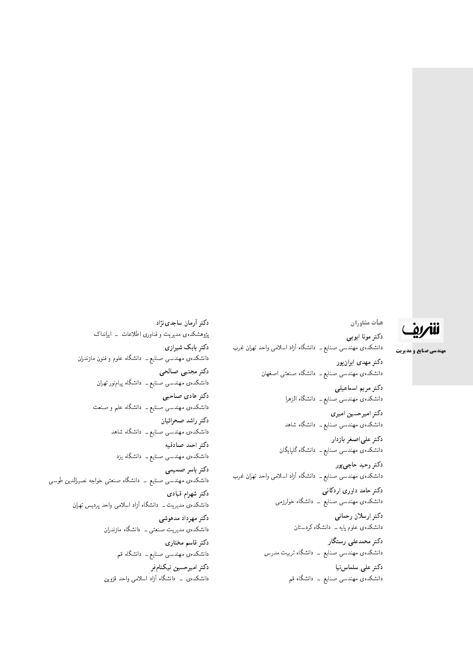## للمريق

**مهندسی صنایع و مدیریت** 

<mark>هيأت مشاوران</mark> دكتر مونا ايوبى دانشکدهی مهندسی صنایع ــ دانشگاه آزاد اسلامی واحد تهران غرب دکتر مهدی ایران**پور** دانشکدهی مهندسی صنایع ــ دانشگاه صنعتی اصغهان دكتر مريم اسماعيلي دانشکدهی مهندسی صنایع ــ دانشگاه الزهرا دكتر اميرحسين اميري دانشکدهی مهندسی صنایع ــ دانشگاه شاهد دكتر علىاصغر بازدار دانشکدهی مهندسی صنایع ــ دانشگاه گلپایگان دکتر وحید حاجی پور دانشکدهی مهندسی صنایع ــ دانشگاه آزاد اسلامی واحد تهران غرب

> دکتر حامد داوری اردکانبی دانشکدهی مهندسی صنایع ــ دانشگاه خوارزمی

> > دكتر ارسلان رحمانى دانشکدهی علوم پایه ــ دانشگاه کردستان

دكتر محمدعلى رستگار دانشکدهی مهندسی صنایع <mark>– دانشگاه تربیت مدرس</mark>

> دكتر على سلماس نيا دانشکدهی مهندسی صنایع ـــ دانشگاه قم

دکتر آرمان ساجدی نژاد پژوهشکدهی مدیریت و فناوری اطلاعات \_ ایرانداک دکتر بابک شیرازی دانشکدهی مهندسی صنایع ــ دانشگاه علموم و فنون مازندران دكتر مجتبى صالحى دانشکدهی مهندسی صنایع ــ دانشگاه پیامنور تهران دكتر هادى صاحبى دانشکدهی مهندسی صنایع ــ دانشگاه علم و صنعت دكتر راشد صحرائيان دانشکدهی مهندسی صنایع ــ دانشگاه شاهد دكتر احمد صادقيه دانشکدهی مهندسی صنایع ــ دانشگاه یزد دكتر ياسر صميمى دانشکدهی مهندسی صنایع ــ دانشگاه صنعتی خواجه نصیرالدین طوسی دكتر شهرام قباد*ى* دانشکدهی مدیریت ــ دانشگاه آزاد اسلامی واحد پردیس تهران دكتر مهرداد مدهوشى دانشکدهی مدیریت صنعتی ــ دانشگاه مازندران دكتر قاسم مختارى دانشکدهی مهندسی صنایع ــ دانشگاه قم دكتر اميرحسين نيكنامفر دانشکدهی \_ دانشگاه آزاد اسلامی واحد قزوین